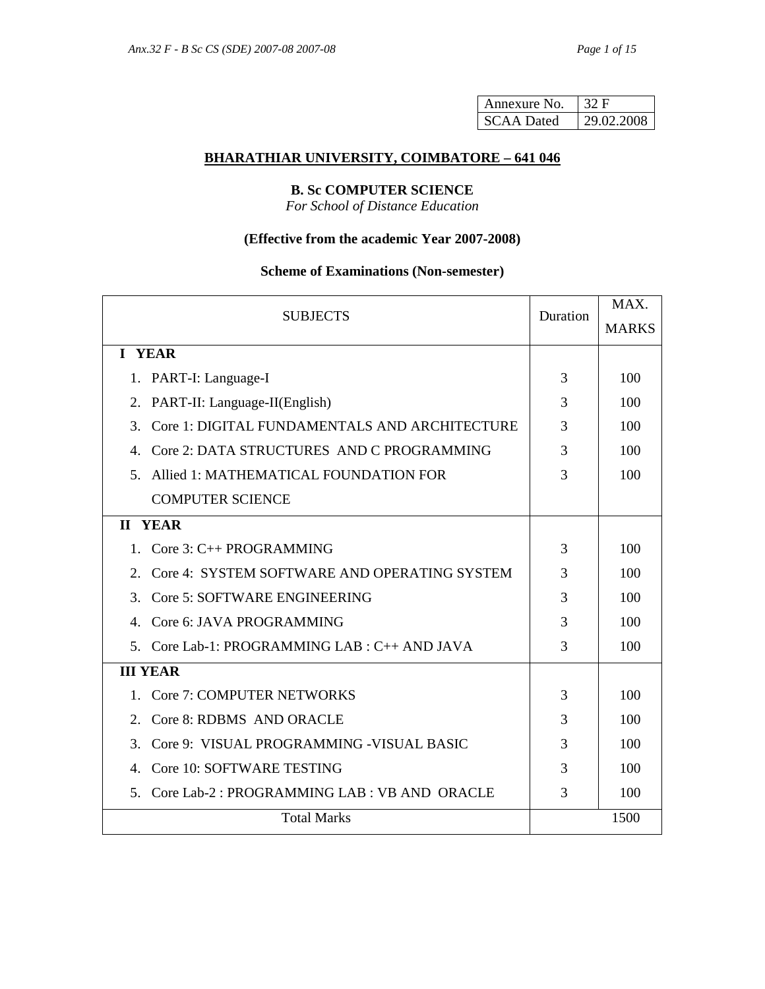| Annexure No.      | 32 F       |
|-------------------|------------|
| <b>SCAA Dated</b> | 29.02.2008 |

## **BHARATHIAR UNIVERSITY, COIMBATORE – 641 046**

# **B. Sc COMPUTER SCIENCE**

*For School of Distance Education* 

# **(Effective from the academic Year 2007-2008)**

# **Scheme of Examinations (Non-semester)**

| <b>SUBJECTS</b>                                                  |   | MAX.         |  |
|------------------------------------------------------------------|---|--------------|--|
|                                                                  |   | <b>MARKS</b> |  |
| I YEAR                                                           |   |              |  |
| 1. PART-I: Language-I                                            |   | 100          |  |
| PART-II: Language-II(English)<br>2.                              | 3 | 100          |  |
| Core 1: DIGITAL FUNDAMENTALS AND ARCHITECTURE<br>$\mathcal{F}$   | 3 | 100          |  |
| Core 2: DATA STRUCTURES AND C PROGRAMMING<br>4.                  | 3 | 100          |  |
| Allied 1: MATHEMATICAL FOUNDATION FOR<br>$5_{-}$                 | 3 | 100          |  |
| <b>COMPUTER SCIENCE</b>                                          |   |              |  |
| <b>II YEAR</b>                                                   |   |              |  |
| 1. Core $3:$ C++ PROGRAMMING                                     | 3 | 100          |  |
| Core 4: SYSTEM SOFTWARE AND OPERATING SYSTEM<br>$\overline{2}$ . |   | 100          |  |
| Core 5: SOFTWARE ENGINEERING<br>3                                |   | 100          |  |
| Core 6: JAVA PROGRAMMING<br>4.                                   |   | 100          |  |
| 5. Core Lab-1: PROGRAMMING LAB : C++ AND JAVA                    | 3 | 100          |  |
| <b>III YEAR</b>                                                  |   |              |  |
| <b>Core 7: COMPUTER NETWORKS</b><br>1                            | 3 | 100          |  |
| Core 8: RDBMS AND ORACLE<br>$2_{-}$                              | 3 | 100          |  |
| Core 9: VISUAL PROGRAMMING - VISUAL BASIC<br>3.                  |   | 100          |  |
| Core 10: SOFTWARE TESTING<br>4                                   |   | 100          |  |
| Core Lab-2: PROGRAMMING LAB: VB AND ORACLE<br>$5^{\circ}$        | 3 | 100          |  |
| <b>Total Marks</b>                                               |   | 1500         |  |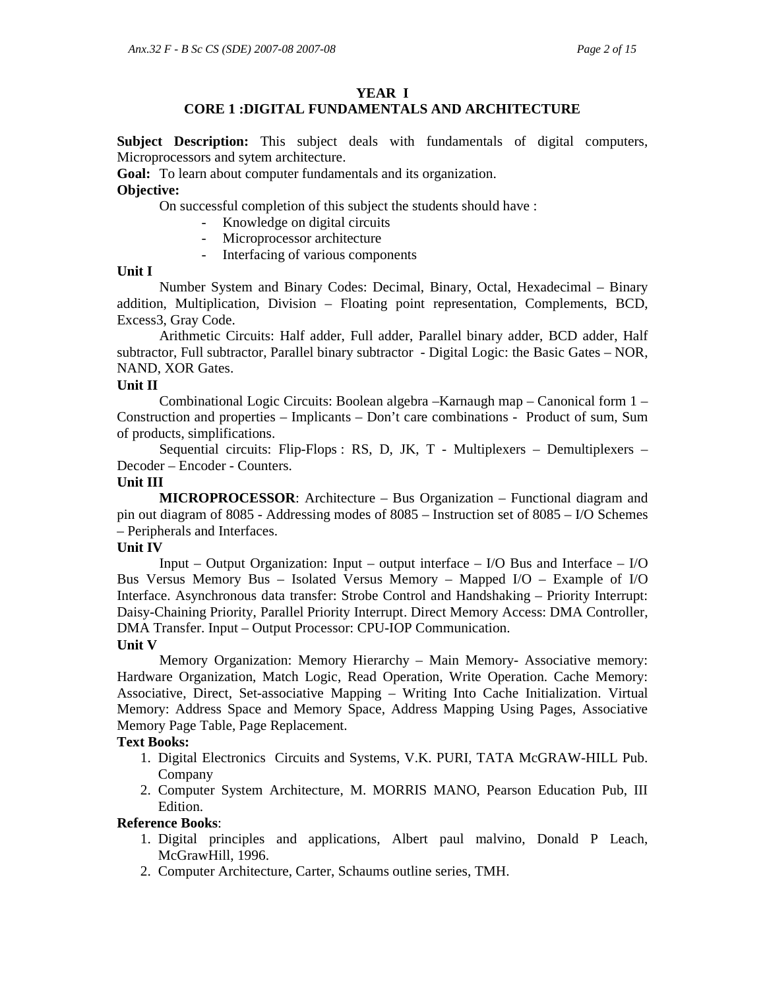### **YEAR I**

# **CORE 1 :DIGITAL FUNDAMENTALS AND ARCHITECTURE**

**Subject Description:** This subject deals with fundamentals of digital computers, Microprocessors and sytem architecture.

**Goal:** To learn about computer fundamentals and its organization.

# **Objective:**

On successful completion of this subject the students should have :

- Knowledge on digital circuits
- Microprocessor architecture
- Interfacing of various components

# **Unit I**

 Number System and Binary Codes: Decimal, Binary, Octal, Hexadecimal – Binary addition, Multiplication, Division – Floating point representation, Complements, BCD, Excess3, Gray Code.

 Arithmetic Circuits: Half adder, Full adder, Parallel binary adder, BCD adder, Half subtractor, Full subtractor, Parallel binary subtractor - Digital Logic: the Basic Gates – NOR, NAND, XOR Gates.

### **Unit II**

 Combinational Logic Circuits: Boolean algebra –Karnaugh map – Canonical form 1 – Construction and properties – Implicants – Don't care combinations - Product of sum, Sum of products, simplifications.

 Sequential circuits: Flip-Flops : RS, D, JK, T - Multiplexers – Demultiplexers – Decoder – Encoder - Counters.

### **Unit III**

**MICROPROCESSOR:** Architecture – Bus Organization – Functional diagram and pin out diagram of 8085 - Addressing modes of 8085 – Instruction set of 8085 – I/O Schemes – Peripherals and Interfaces.

### **Unit IV**

Input – Output Organization: Input – output interface –  $I/O$  Bus and Interface –  $I/O$ Bus Versus Memory Bus – Isolated Versus Memory – Mapped I/O – Example of I/O Interface. Asynchronous data transfer: Strobe Control and Handshaking – Priority Interrupt: Daisy-Chaining Priority, Parallel Priority Interrupt. Direct Memory Access: DMA Controller, DMA Transfer. Input – Output Processor: CPU-IOP Communication. **Unit V** 

 Memory Organization: Memory Hierarchy – Main Memory- Associative memory: Hardware Organization, Match Logic, Read Operation, Write Operation. Cache Memory: Associative, Direct, Set-associative Mapping – Writing Into Cache Initialization. Virtual Memory: Address Space and Memory Space, Address Mapping Using Pages, Associative Memory Page Table, Page Replacement.

### **Text Books:**

- 1. Digital Electronics Circuits and Systems, V.K. PURI, TATA McGRAW-HILL Pub. Company
- 2. Computer System Architecture, M. MORRIS MANO, Pearson Education Pub, III Edition.

### **Reference Books**:

- 1. Digital principles and applications, Albert paul malvino, Donald P Leach, McGrawHill, 1996.
- 2. Computer Architecture, Carter, Schaums outline series, TMH.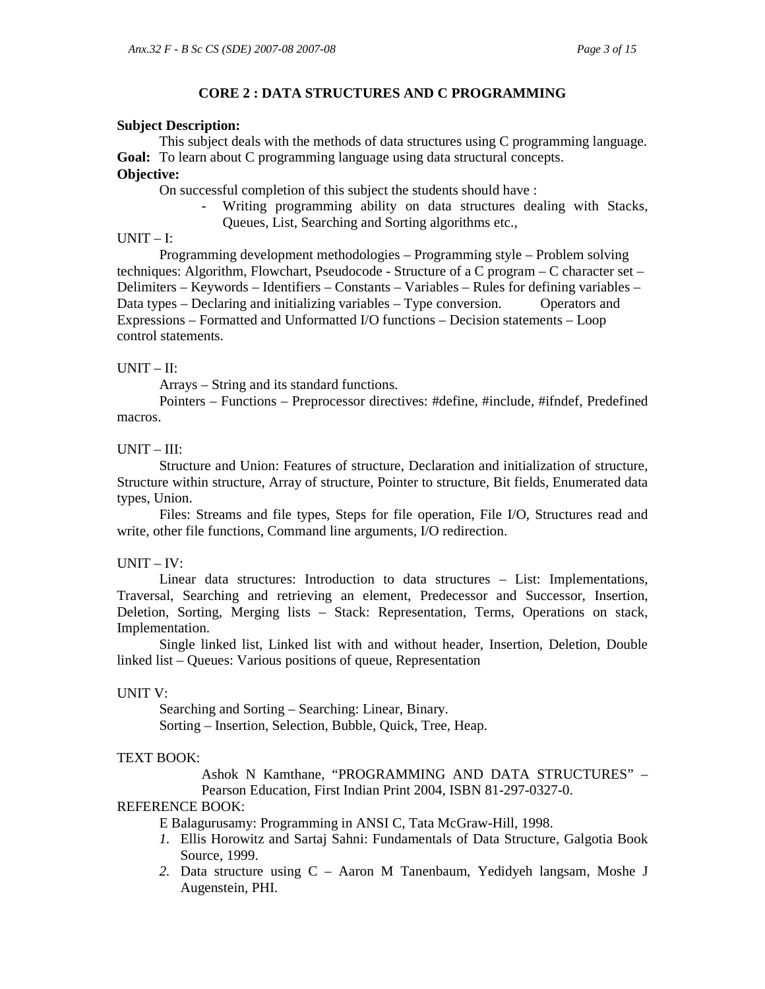### **CORE 2 : DATA STRUCTURES AND C PROGRAMMING**

#### **Subject Description:**

 This subject deals with the methods of data structures using C programming language. **Goal:** To learn about C programming language using data structural concepts.

# **Objective:**

On successful completion of this subject the students should have :

- Writing programming ability on data structures dealing with Stacks,
	- Queues, List, Searching and Sorting algorithms etc.,

### $UNIT - I:$

 Programming development methodologies – Programming style – Problem solving techniques: Algorithm, Flowchart, Pseudocode - Structure of a C program – C character set – Delimiters – Keywords – Identifiers – Constants – Variables – Rules for defining variables – Data types – Declaring and initializing variables – Type conversion. Operators and Expressions – Formatted and Unformatted I/O functions – Decision statements – Loop control statements.

### $UNIT - II:$

Arrays – String and its standard functions.

Pointers – Functions – Preprocessor directives: #define, #include, #ifndef, Predefined macros.

## $UNIT - III:$

 Structure and Union: Features of structure, Declaration and initialization of structure, Structure within structure, Array of structure, Pointer to structure, Bit fields, Enumerated data types, Union.

 Files: Streams and file types, Steps for file operation, File I/O, Structures read and write, other file functions, Command line arguments, I/O redirection.

### $UNIT - IV:$

 Linear data structures: Introduction to data structures – List: Implementations, Traversal, Searching and retrieving an element, Predecessor and Successor, Insertion, Deletion, Sorting, Merging lists – Stack: Representation, Terms, Operations on stack, Implementation.

Single linked list, Linked list with and without header, Insertion, Deletion, Double linked list – Queues: Various positions of queue, Representation

### UNIT V:

 Searching and Sorting – Searching: Linear, Binary. Sorting – Insertion, Selection, Bubble, Quick, Tree, Heap.

### TEXT BOOK:

Ashok N Kamthane, "PROGRAMMING AND DATA STRUCTURES" – Pearson Education, First Indian Print 2004, ISBN 81-297-0327-0.

### REFERENCE BOOK:

E Balagurusamy: Programming in ANSI C, Tata McGraw-Hill, 1998.

- *1.* Ellis Horowitz and Sartaj Sahni: Fundamentals of Data Structure, Galgotia Book Source, 1999.
- *2.* Data structure using C Aaron M Tanenbaum, Yedidyeh langsam, Moshe J Augenstein, PHI.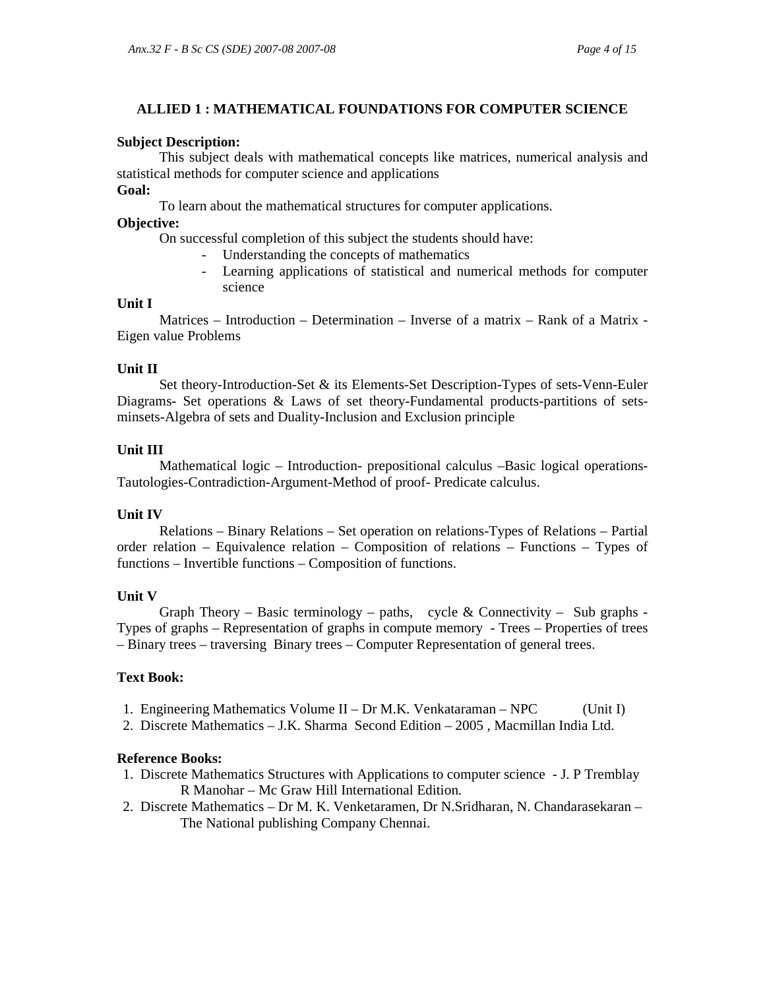### **ALLIED 1 : MATHEMATICAL FOUNDATIONS FOR COMPUTER SCIENCE**

#### **Subject Description:**

 This subject deals with mathematical concepts like matrices, numerical analysis and statistical methods for computer science and applications

### **Goal:**

To learn about the mathematical structures for computer applications.

### **Objective:**

On successful completion of this subject the students should have:

- Understanding the concepts of mathematics
- Learning applications of statistical and numerical methods for computer science

### **Unit I**

 Matrices – Introduction – Determination – Inverse of a matrix – Rank of a Matrix - Eigen value Problems

### **Unit II**

 Set theory-Introduction-Set & its Elements-Set Description-Types of sets-Venn-Euler Diagrams- Set operations & Laws of set theory-Fundamental products-partitions of setsminsets-Algebra of sets and Duality-Inclusion and Exclusion principle

### **Unit III**

 Mathematical logic – Introduction- prepositional calculus –Basic logical operations-Tautologies-Contradiction-Argument-Method of proof- Predicate calculus.

#### **Unit IV**

 Relations – Binary Relations – Set operation on relations-Types of Relations – Partial order relation – Equivalence relation – Composition of relations – Functions – Types of functions – Invertible functions – Composition of functions.

### **Unit V**

Graph Theory – Basic terminology – paths, cycle & Connectivity – Sub graphs -Types of graphs – Representation of graphs in compute memory - Trees – Properties of trees – Binary trees – traversing Binary trees – Computer Representation of general trees.

### **Text Book:**

- 1. Engineering Mathematics Volume II Dr M.K. Venkataraman NPC (Unit I)
- 2. Discrete Mathematics J.K. Sharma Second Edition 2005 , Macmillan India Ltd.

#### **Reference Books:**

- 1. Discrete Mathematics Structures with Applications to computer science J. P Tremblay R Manohar – Mc Graw Hill International Edition.
- 2. Discrete Mathematics Dr M. K. Venketaramen, Dr N.Sridharan, N. Chandarasekaran The National publishing Company Chennai.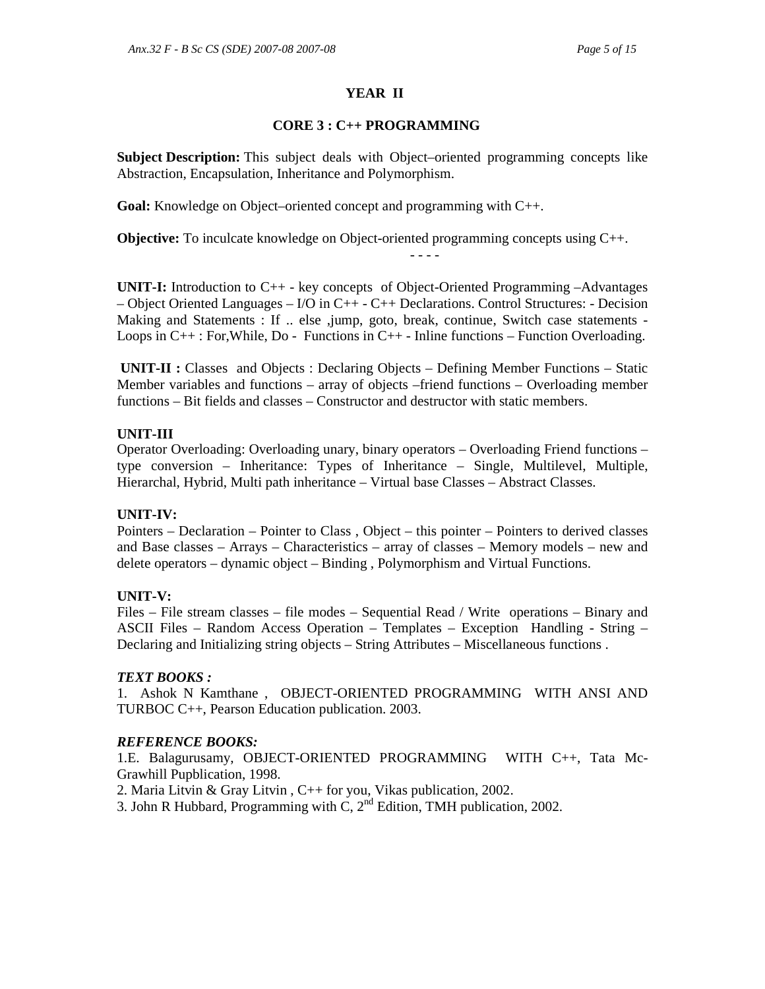# **YEAR II**

### **CORE 3 : C++ PROGRAMMING**

**Subject Description:** This subject deals with Object–oriented programming concepts like Abstraction, Encapsulation, Inheritance and Polymorphism.

**Goal:** Knowledge on Object–oriented concept and programming with C++.

**Objective:** To inculcate knowledge on Object-oriented programming concepts using C++.

**UNIT-I:** Introduction to C++ - key concepts of Object-Oriented Programming –Advantages – Object Oriented Languages – I/O in C++ - C++ Declarations. Control Structures: - Decision Making and Statements : If .. else ,jump, goto, break, continue, Switch case statements -Loops in  $C_{++}$ : For, While, Do - Functions in  $C_{++}$  - Inline functions – Function Overloading.

- - - -

 **UNIT-II :** Classes and Objects : Declaring Objects – Defining Member Functions – Static Member variables and functions – array of objects –friend functions – Overloading member functions – Bit fields and classes – Constructor and destructor with static members.

# **UNIT-III**

Operator Overloading: Overloading unary, binary operators – Overloading Friend functions – type conversion – Inheritance: Types of Inheritance – Single, Multilevel, Multiple, Hierarchal, Hybrid, Multi path inheritance – Virtual base Classes – Abstract Classes.

# **UNIT-IV:**

Pointers – Declaration – Pointer to Class , Object – this pointer – Pointers to derived classes and Base classes – Arrays – Characteristics – array of classes – Memory models – new and delete operators – dynamic object – Binding , Polymorphism and Virtual Functions.

# **UNIT-V:**

Files – File stream classes – file modes – Sequential Read / Write operations – Binary and ASCII Files – Random Access Operation – Templates – Exception Handling - String – Declaring and Initializing string objects – String Attributes – Miscellaneous functions .

# *TEXT BOOKS :*

1. Ashok N Kamthane , OBJECT-ORIENTED PROGRAMMING WITH ANSI AND TURBOC C++, Pearson Education publication. 2003.

# *REFERENCE BOOKS:*

1.E. Balagurusamy, OBJECT-ORIENTED PROGRAMMING WITH C++, Tata Mc-Grawhill Pupblication, 1998.

2. Maria Litvin & Gray Litvin , C++ for you, Vikas publication, 2002.

3. John R Hubbard, Programming with C,  $2^{nd}$  Edition, TMH publication, 2002.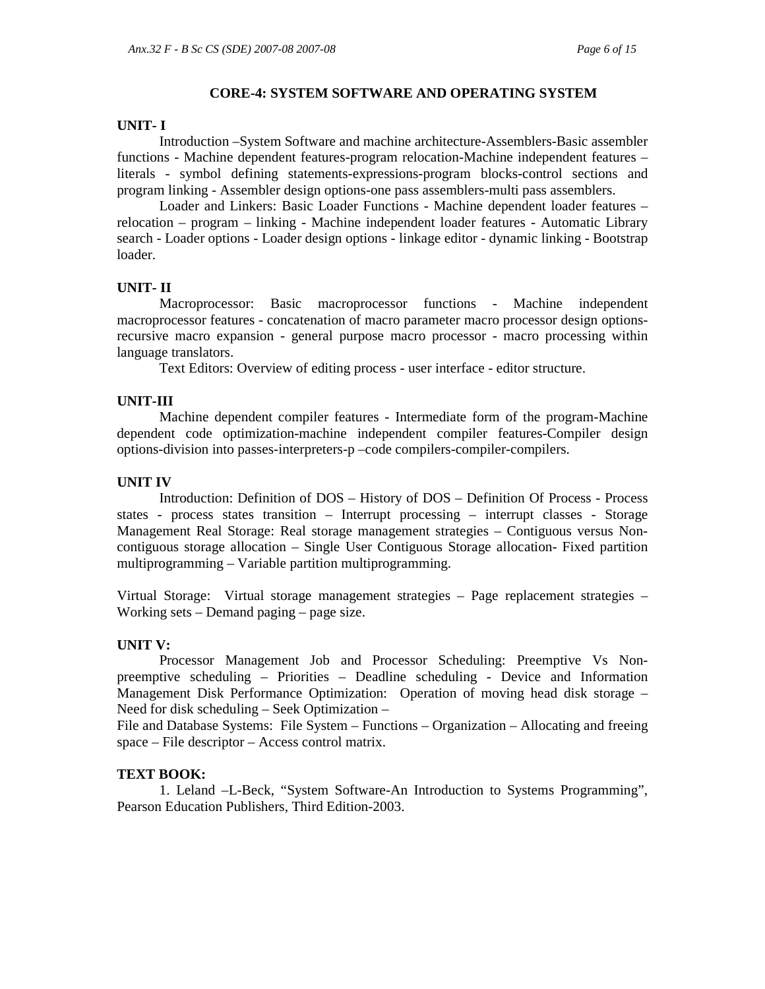#### **CORE-4: SYSTEM SOFTWARE AND OPERATING SYSTEM**

#### **UNIT- I**

Introduction –System Software and machine architecture-Assemblers-Basic assembler functions - Machine dependent features-program relocation-Machine independent features – literals - symbol defining statements-expressions-program blocks-control sections and program linking - Assembler design options-one pass assemblers-multi pass assemblers.

Loader and Linkers: Basic Loader Functions - Machine dependent loader features – relocation – program – linking - Machine independent loader features - Automatic Library search - Loader options - Loader design options - linkage editor - dynamic linking - Bootstrap loader.

#### **UNIT- II**

Macroprocessor: Basic macroprocessor functions - Machine independent macroprocessor features - concatenation of macro parameter macro processor design optionsrecursive macro expansion - general purpose macro processor - macro processing within language translators.

Text Editors: Overview of editing process - user interface - editor structure.

#### **UNIT-III**

Machine dependent compiler features - Intermediate form of the program-Machine dependent code optimization-machine independent compiler features-Compiler design options-division into passes-interpreters-p –code compilers-compiler-compilers.

#### **UNIT IV**

Introduction: Definition of DOS – History of DOS – Definition Of Process - Process states - process states transition – Interrupt processing – interrupt classes - Storage Management Real Storage: Real storage management strategies – Contiguous versus Noncontiguous storage allocation – Single User Contiguous Storage allocation- Fixed partition multiprogramming – Variable partition multiprogramming.

Virtual Storage: Virtual storage management strategies – Page replacement strategies – Working sets – Demand paging – page size.

#### **UNIT V:**

Processor Management Job and Processor Scheduling: Preemptive Vs Nonpreemptive scheduling – Priorities – Deadline scheduling - Device and Information Management Disk Performance Optimization: Operation of moving head disk storage – Need for disk scheduling – Seek Optimization –

File and Database Systems: File System – Functions – Organization – Allocating and freeing space – File descriptor – Access control matrix.

#### **TEXT BOOK:**

1. Leland –L-Beck, "System Software-An Introduction to Systems Programming", Pearson Education Publishers, Third Edition-2003.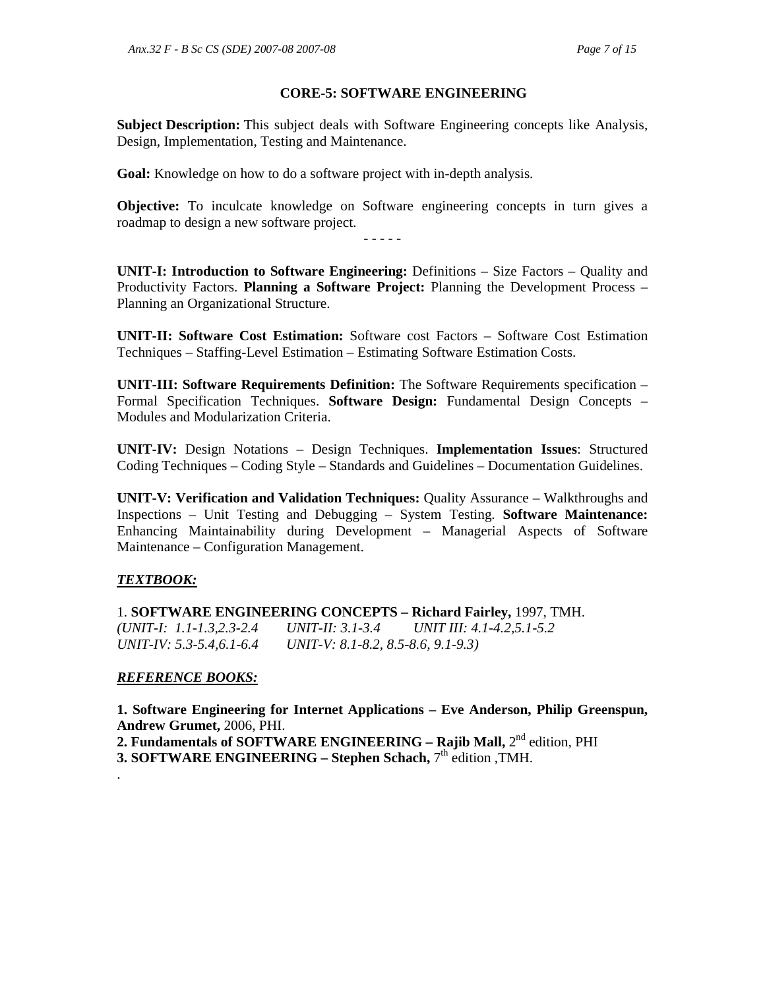### **CORE-5: SOFTWARE ENGINEERING**

**Subject Description:** This subject deals with Software Engineering concepts like Analysis, Design, Implementation, Testing and Maintenance.

**Goal:** Knowledge on how to do a software project with in-depth analysis.

**Objective:** To inculcate knowledge on Software engineering concepts in turn gives a roadmap to design a new software project.

- - - - -

**UNIT-I: Introduction to Software Engineering:** Definitions – Size Factors – Quality and Productivity Factors. **Planning a Software Project:** Planning the Development Process – Planning an Organizational Structure.

**UNIT-II: Software Cost Estimation:** Software cost Factors – Software Cost Estimation Techniques – Staffing-Level Estimation – Estimating Software Estimation Costs.

**UNIT-III: Software Requirements Definition:** The Software Requirements specification – Formal Specification Techniques. **Software Design:** Fundamental Design Concepts – Modules and Modularization Criteria.

**UNIT-IV:** Design Notations – Design Techniques. **Implementation Issues**: Structured Coding Techniques – Coding Style – Standards and Guidelines – Documentation Guidelines.

**UNIT-V: Verification and Validation Techniques:** Quality Assurance – Walkthroughs and Inspections – Unit Testing and Debugging – System Testing. **Software Maintenance:** Enhancing Maintainability during Development – Managerial Aspects of Software Maintenance – Configuration Management.

### *TEXTBOOK:*

1. **SOFTWARE ENGINEERING CONCEPTS – Richard Fairley,** 1997, TMH. *(UNIT-I: 1.1-1.3,2.3-2.4 UNIT-II: 3.1-3.4 UNIT III: 4.1-4.2,5.1-5.2 UNIT-IV: 5.3-5.4,6.1-6.4 UNIT-V: 8.1-8.2, 8.5-8.6, 9.1-9.3)* 

### *REFERENCE BOOKS:*

**1. Software Engineering for Internet Applications – Eve Anderson, Philip Greenspun, Andrew Grumet,** 2006, PHI.

**2. Fundamentals of SOFTWARE ENGINEERING – Rajib Mall, 2<sup>nd</sup> edition, PHI** 

**3. SOFTWARE ENGINEERING – Stephen Schach,** 7<sup>th</sup> edition , TMH. .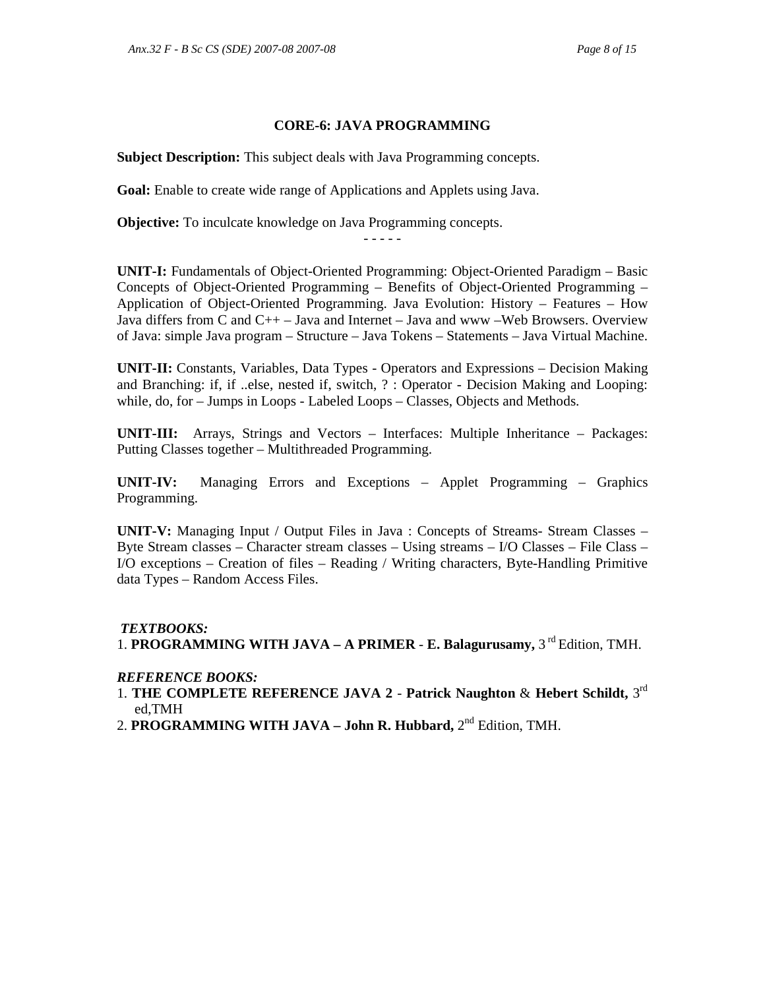### **CORE-6: JAVA PROGRAMMING**

**Subject Description:** This subject deals with Java Programming concepts.

**Goal:** Enable to create wide range of Applications and Applets using Java.

**Objective:** To inculcate knowledge on Java Programming concepts.

**UNIT-I:** Fundamentals of Object-Oriented Programming: Object-Oriented Paradigm – Basic Concepts of Object-Oriented Programming – Benefits of Object-Oriented Programming – Application of Object-Oriented Programming. Java Evolution: History – Features – How Java differs from C and C++ – Java and Internet – Java and www –Web Browsers. Overview of Java: simple Java program – Structure – Java Tokens – Statements – Java Virtual Machine.

**UNIT-II:** Constants, Variables, Data Types - Operators and Expressions – Decision Making and Branching: if, if ..else, nested if, switch, ? : Operator - Decision Making and Looping: while, do, for – Jumps in Loops - Labeled Loops – Classes, Objects and Methods.

**UNIT-III:** Arrays, Strings and Vectors – Interfaces: Multiple Inheritance – Packages: Putting Classes together – Multithreaded Programming.

**UNIT-IV:** Managing Errors and Exceptions – Applet Programming – Graphics Programming.

**UNIT-V:** Managing Input / Output Files in Java : Concepts of Streams- Stream Classes – Byte Stream classes – Character stream classes – Using streams – I/O Classes – File Class – I/O exceptions – Creation of files – Reading / Writing characters, Byte-Handling Primitive data Types – Random Access Files.

### *TEXTBOOKS:*

1. **PROGRAMMING WITH JAVA – A PRIMER - E. Balagurusamy,** 3<sup>rd</sup> Edition, TMH.

### *REFERENCE BOOKS:*

- 1. **THE COMPLETE REFERENCE JAVA 2 Patrick Naughton** & **Hebert Schildt,** 3 rd ed,TMH
- 2. **PROGRAMMING WITH JAVA John R. Hubbard,** 2<sup>nd</sup> Edition, TMH.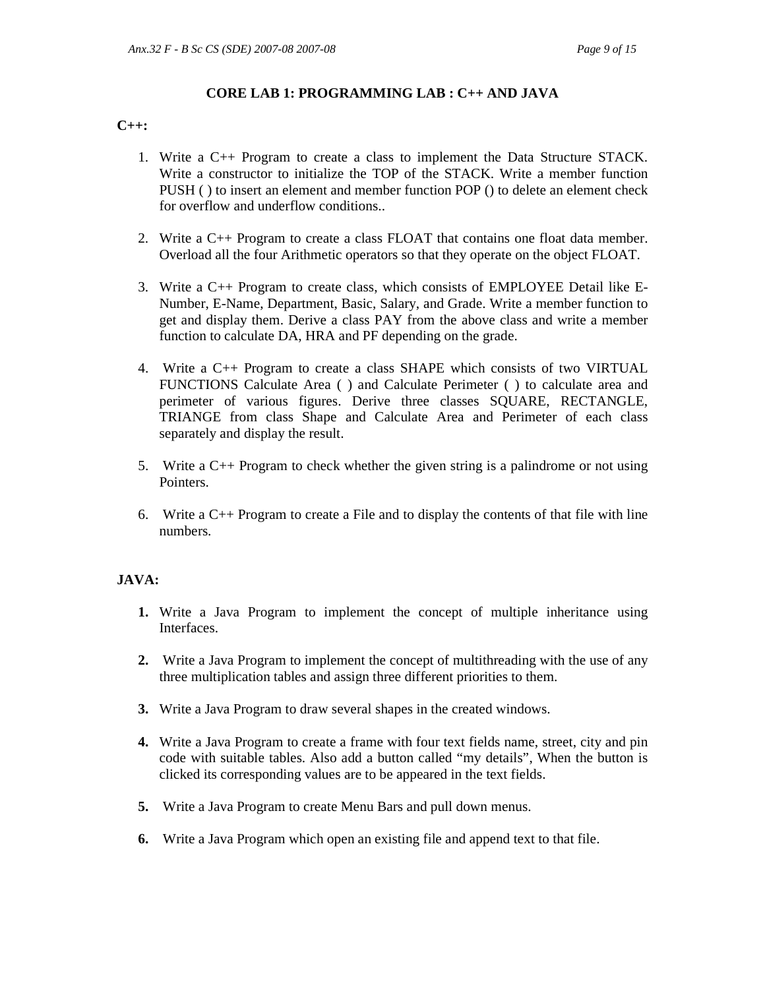### **CORE LAB 1: PROGRAMMING LAB : C++ AND JAVA**

#### **C++:**

- 1. Write a C++ Program to create a class to implement the Data Structure STACK. Write a constructor to initialize the TOP of the STACK. Write a member function PUSH ( ) to insert an element and member function POP () to delete an element check for overflow and underflow conditions..
- 2. Write a C++ Program to create a class FLOAT that contains one float data member. Overload all the four Arithmetic operators so that they operate on the object FLOAT.
- 3. Write a C++ Program to create class, which consists of EMPLOYEE Detail like E-Number, E-Name, Department, Basic, Salary, and Grade. Write a member function to get and display them. Derive a class PAY from the above class and write a member function to calculate DA, HRA and PF depending on the grade.
- 4. Write a C++ Program to create a class SHAPE which consists of two VIRTUAL FUNCTIONS Calculate Area ( ) and Calculate Perimeter ( ) to calculate area and perimeter of various figures. Derive three classes SQUARE, RECTANGLE, TRIANGE from class Shape and Calculate Area and Perimeter of each class separately and display the result.
- 5. Write a C++ Program to check whether the given string is a palindrome or not using Pointers.
- 6. Write a  $C_{++}$  Program to create a File and to display the contents of that file with line numbers.

### **JAVA:**

- **1.** Write a Java Program to implement the concept of multiple inheritance using Interfaces.
- **2.** Write a Java Program to implement the concept of multithreading with the use of any three multiplication tables and assign three different priorities to them.
- **3.** Write a Java Program to draw several shapes in the created windows.
- **4.** Write a Java Program to create a frame with four text fields name, street, city and pin code with suitable tables. Also add a button called "my details", When the button is clicked its corresponding values are to be appeared in the text fields.
- **5.** Write a Java Program to create Menu Bars and pull down menus.
- **6.** Write a Java Program which open an existing file and append text to that file.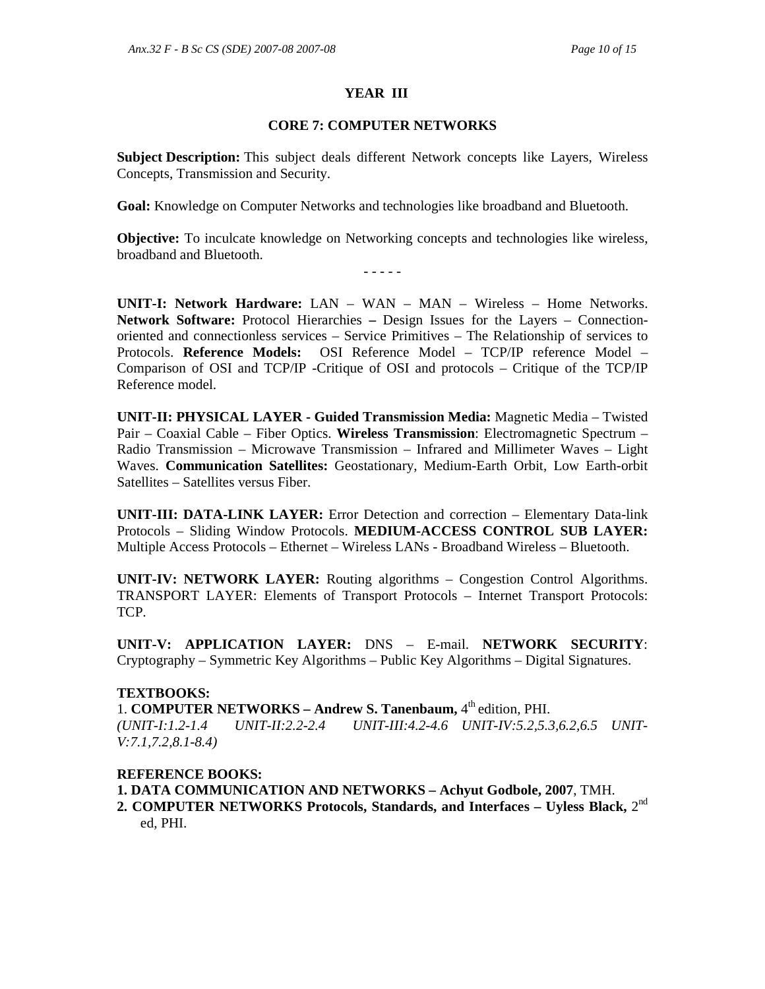### **YEAR III**

### **CORE 7: COMPUTER NETWORKS**

**Subject Description:** This subject deals different Network concepts like Layers, Wireless Concepts, Transmission and Security.

**Goal:** Knowledge on Computer Networks and technologies like broadband and Bluetooth.

**Objective:** To inculcate knowledge on Networking concepts and technologies like wireless, broadband and Bluetooth.

- - - - -

**UNIT-I: Network Hardware:** LAN – WAN – MAN – Wireless – Home Networks. **Network Software:** Protocol Hierarchies **–** Design Issues for the Layers – Connectionoriented and connectionless services – Service Primitives – The Relationship of services to Protocols. **Reference Models:** OSI Reference Model – TCP/IP reference Model – Comparison of OSI and TCP/IP -Critique of OSI and protocols – Critique of the TCP/IP Reference model.

**UNIT-II: PHYSICAL LAYER - Guided Transmission Media:** Magnetic Media – Twisted Pair – Coaxial Cable – Fiber Optics. **Wireless Transmission**: Electromagnetic Spectrum – Radio Transmission – Microwave Transmission – Infrared and Millimeter Waves – Light Waves. **Communication Satellites:** Geostationary, Medium-Earth Orbit, Low Earth-orbit Satellites – Satellites versus Fiber.

**UNIT-III: DATA-LINK LAYER:** Error Detection and correction – Elementary Data-link Protocols – Sliding Window Protocols. **MEDIUM-ACCESS CONTROL SUB LAYER:** Multiple Access Protocols – Ethernet – Wireless LANs - Broadband Wireless – Bluetooth.

**UNIT-IV: NETWORK LAYER:** Routing algorithms – Congestion Control Algorithms. TRANSPORT LAYER: Elements of Transport Protocols – Internet Transport Protocols: TCP.

**UNIT-V: APPLICATION LAYER:** DNS – E-mail. **NETWORK SECURITY**: Cryptography – Symmetric Key Algorithms – Public Key Algorithms – Digital Signatures.

### **TEXTBOOKS:**

1. **COMPUTER NETWORKS - Andrew S. Tanenbaum,** 4<sup>th</sup> edition, PHI.

*(UNIT-I:1.2-1.4 UNIT-II:2.2-2.4 UNIT-III:4.2-4.6 UNIT-IV:5.2,5.3,6.2,6.5 UNIT-V:7.1,7.2,8.1-8.4)*

### **REFERENCE BOOKS:**

**1. DATA COMMUNICATION AND NETWORKS – Achyut Godbole, 2007**, TMH.

2. COMPUTER NETWORKS Protocols, Standards, and Interfaces – Uyless Black, 2<sup>nd</sup> ed, PHI.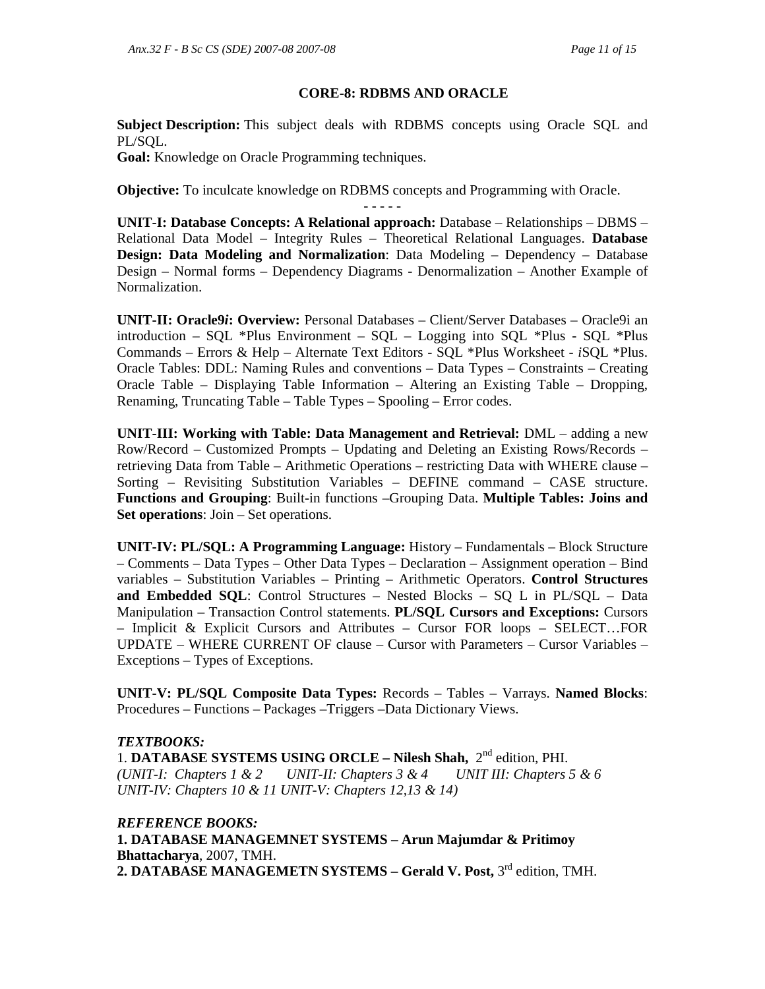### **CORE-8: RDBMS AND ORACLE**

**Subject Description:** This subject deals with RDBMS concepts using Oracle SQL and PL/SOL.

**Goal:** Knowledge on Oracle Programming techniques.

**Objective:** To inculcate knowledge on RDBMS concepts and Programming with Oracle.

- - - - - **UNIT-I: Database Concepts: A Relational approach:** Database – Relationships – DBMS – Relational Data Model – Integrity Rules – Theoretical Relational Languages. **Database Design: Data Modeling and Normalization**: Data Modeling – Dependency – Database Design – Normal forms – Dependency Diagrams - Denormalization – Another Example of Normalization.

**UNIT-II: Oracle9***i***: Overview:** Personal Databases – Client/Server Databases – Oracle9i an introduction – SQL \*Plus Environment – SQL – Logging into SQL \*Plus - SQL \*Plus Commands – Errors & Help – Alternate Text Editors - SQL \*Plus Worksheet - *i*SQL \*Plus. Oracle Tables: DDL: Naming Rules and conventions – Data Types – Constraints – Creating Oracle Table – Displaying Table Information – Altering an Existing Table – Dropping, Renaming, Truncating Table – Table Types – Spooling – Error codes.

**UNIT-III: Working with Table: Data Management and Retrieval:** DML – adding a new Row/Record – Customized Prompts – Updating and Deleting an Existing Rows/Records – retrieving Data from Table – Arithmetic Operations – restricting Data with WHERE clause – Sorting – Revisiting Substitution Variables – DEFINE command – CASE structure. **Functions and Grouping**: Built-in functions –Grouping Data. **Multiple Tables: Joins and Set operations**: Join – Set operations.

**UNIT-IV: PL/SQL: A Programming Language:** History – Fundamentals – Block Structure – Comments – Data Types – Other Data Types – Declaration – Assignment operation – Bind variables – Substitution Variables – Printing – Arithmetic Operators. **Control Structures and Embedded SQL**: Control Structures – Nested Blocks – SQ L in PL/SQL – Data Manipulation – Transaction Control statements. **PL/SQL Cursors and Exceptions:** Cursors – Implicit & Explicit Cursors and Attributes – Cursor FOR loops – SELECT…FOR UPDATE – WHERE CURRENT OF clause – Cursor with Parameters – Cursor Variables – Exceptions – Types of Exceptions.

**UNIT-V: PL/SQL Composite Data Types:** Records – Tables – Varrays. **Named Blocks**: Procedures – Functions – Packages –Triggers –Data Dictionary Views.

### *TEXTBOOKS:*

1. **DATABASE SYSTEMS USING ORCLE – Nilesh Shah,** 2nd edition, PHI. *(UNIT-I: Chapters 1 & 2 UNIT-II: Chapters 3 & 4 UNIT III: Chapters 5 & 6 UNIT-IV: Chapters 10 & 11 UNIT-V: Chapters 12,13 & 14)* 

*REFERENCE BOOKS:*  **1. DATABASE MANAGEMNET SYSTEMS – Arun Majumdar & Pritimoy Bhattacharya**, 2007, TMH. 2. DATABASE MANAGEMETN SYSTEMS – Gerald V. Post, 3<sup>rd</sup> edition, TMH.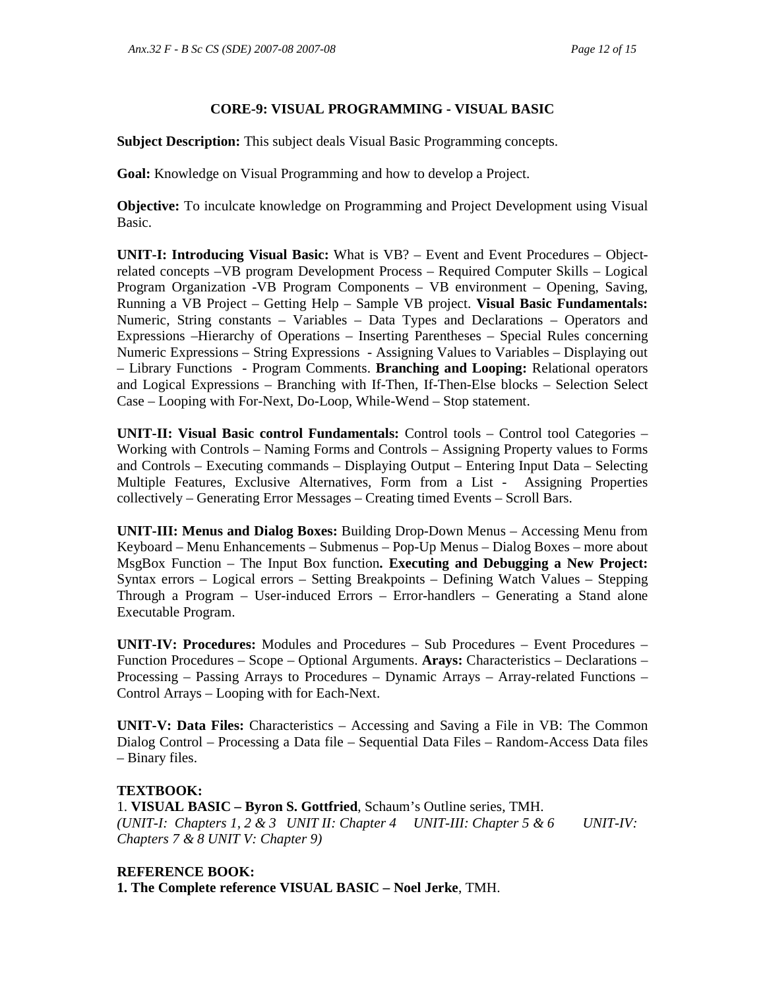# **CORE-9: VISUAL PROGRAMMING - VISUAL BASIC**

**Subject Description:** This subject deals Visual Basic Programming concepts.

**Goal:** Knowledge on Visual Programming and how to develop a Project.

**Objective:** To inculcate knowledge on Programming and Project Development using Visual Basic.

**UNIT-I: Introducing Visual Basic:** What is VB? – Event and Event Procedures – Objectrelated concepts –VB program Development Process – Required Computer Skills – Logical Program Organization -VB Program Components – VB environment – Opening, Saving, Running a VB Project – Getting Help – Sample VB project. **Visual Basic Fundamentals:**  Numeric, String constants – Variables – Data Types and Declarations – Operators and Expressions –Hierarchy of Operations – Inserting Parentheses – Special Rules concerning Numeric Expressions – String Expressions - Assigning Values to Variables – Displaying out – Library Functions - Program Comments. **Branching and Looping:** Relational operators and Logical Expressions – Branching with If-Then, If-Then-Else blocks – Selection Select Case – Looping with For-Next, Do-Loop, While-Wend – Stop statement.

**UNIT-II: Visual Basic control Fundamentals:** Control tools – Control tool Categories – Working with Controls – Naming Forms and Controls – Assigning Property values to Forms and Controls – Executing commands – Displaying Output – Entering Input Data – Selecting Multiple Features, Exclusive Alternatives, Form from a List - Assigning Properties collectively – Generating Error Messages – Creating timed Events – Scroll Bars.

**UNIT-III: Menus and Dialog Boxes:** Building Drop-Down Menus – Accessing Menu from Keyboard – Menu Enhancements – Submenus – Pop-Up Menus – Dialog Boxes – more about MsgBox Function – The Input Box function**. Executing and Debugging a New Project:**  Syntax errors – Logical errors – Setting Breakpoints – Defining Watch Values – Stepping Through a Program – User-induced Errors – Error-handlers – Generating a Stand alone Executable Program.

**UNIT-IV: Procedures:** Modules and Procedures – Sub Procedures – Event Procedures – Function Procedures – Scope – Optional Arguments. **Arays:** Characteristics – Declarations – Processing – Passing Arrays to Procedures – Dynamic Arrays – Array-related Functions – Control Arrays – Looping with for Each-Next.

**UNIT-V: Data Files:** Characteristics – Accessing and Saving a File in VB: The Common Dialog Control – Processing a Data file – Sequential Data Files – Random-Access Data files – Binary files.

### **TEXTBOOK:**

1. **VISUAL BASIC – Byron S. Gottfried**, Schaum's Outline series, TMH. *(UNIT-I: Chapters 1, 2 & 3 UNIT II: Chapter 4 UNIT-III: Chapter 5 & 6 UNIT-IV: Chapters 7 & 8 UNIT V: Chapter 9)* 

## **REFERENCE BOOK:**

**1. The Complete reference VISUAL BASIC – Noel Jerke**, TMH.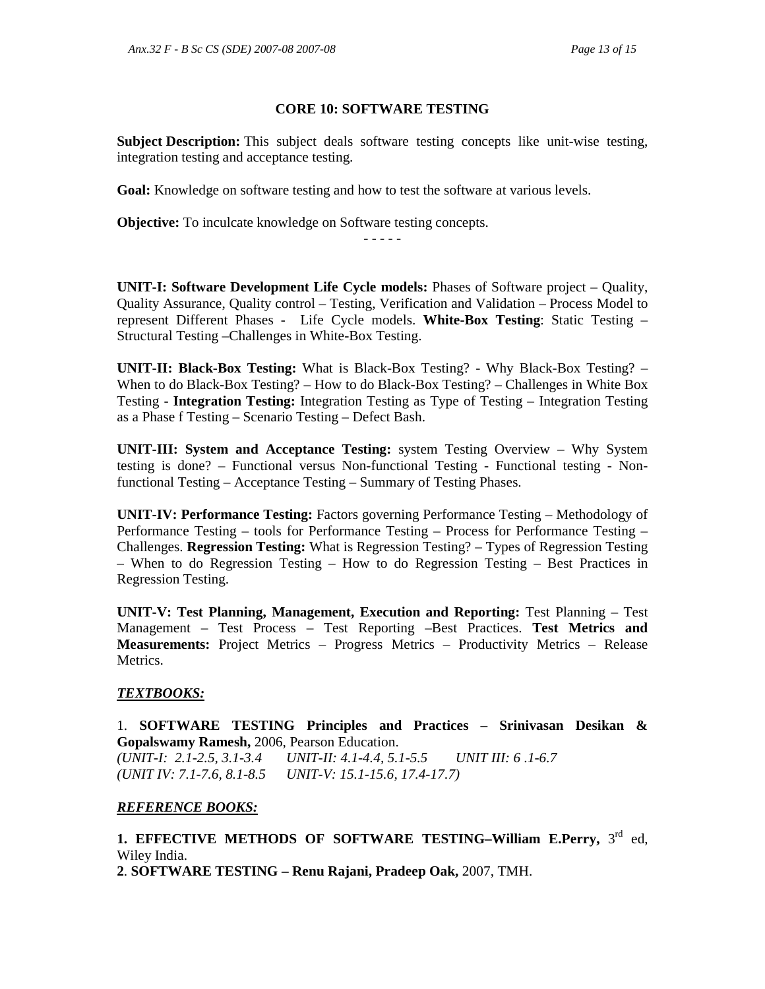### **CORE 10: SOFTWARE TESTING**

**Subject Description:** This subject deals software testing concepts like unit-wise testing, integration testing and acceptance testing.

**Goal:** Knowledge on software testing and how to test the software at various levels.

**Objective:** To inculcate knowledge on Software testing concepts.

**UNIT-I: Software Development Life Cycle models:** Phases of Software project – Quality, Quality Assurance, Quality control – Testing, Verification and Validation – Process Model to represent Different Phases - Life Cycle models. **White-Box Testing**: Static Testing – Structural Testing –Challenges in White-Box Testing.

- - - - -

**UNIT-II: Black-Box Testing:** What is Black-Box Testing? - Why Black-Box Testing? – When to do Black-Box Testing? – How to do Black-Box Testing? – Challenges in White Box Testing - **Integration Testing:** Integration Testing as Type of Testing – Integration Testing as a Phase f Testing – Scenario Testing – Defect Bash.

**UNIT-III: System and Acceptance Testing:** system Testing Overview – Why System testing is done? – Functional versus Non-functional Testing - Functional testing - Nonfunctional Testing – Acceptance Testing – Summary of Testing Phases.

**UNIT-IV: Performance Testing:** Factors governing Performance Testing – Methodology of Performance Testing – tools for Performance Testing – Process for Performance Testing – Challenges. **Regression Testing:** What is Regression Testing? – Types of Regression Testing – When to do Regression Testing – How to do Regression Testing – Best Practices in Regression Testing.

**UNIT-V: Test Planning, Management, Execution and Reporting:** Test Planning – Test Management – Test Process – Test Reporting –Best Practices. **Test Metrics and Measurements:** Project Metrics – Progress Metrics – Productivity Metrics – Release Metrics.

### *TEXTBOOKS:*

1. **SOFTWARE TESTING Principles and Practices – Srinivasan Desikan & Gopalswamy Ramesh,** 2006, Pearson Education. *(UNIT-I: 2.1-2.5, 3.1-3.4 UNIT-II: 4.1-4.4, 5.1-5.5 UNIT III: 6 .1-6.7 (UNIT IV: 7.1-7.6, 8.1-8.5 UNIT-V: 15.1-15.6, 17.4-17.7)* 

# *REFERENCE BOOKS:*

1. EFFECTIVE METHODS OF SOFTWARE TESTING-William E.Perry, 3<sup>rd</sup> ed, Wiley India.

**2**. **SOFTWARE TESTING – Renu Rajani, Pradeep Oak,** 2007, TMH.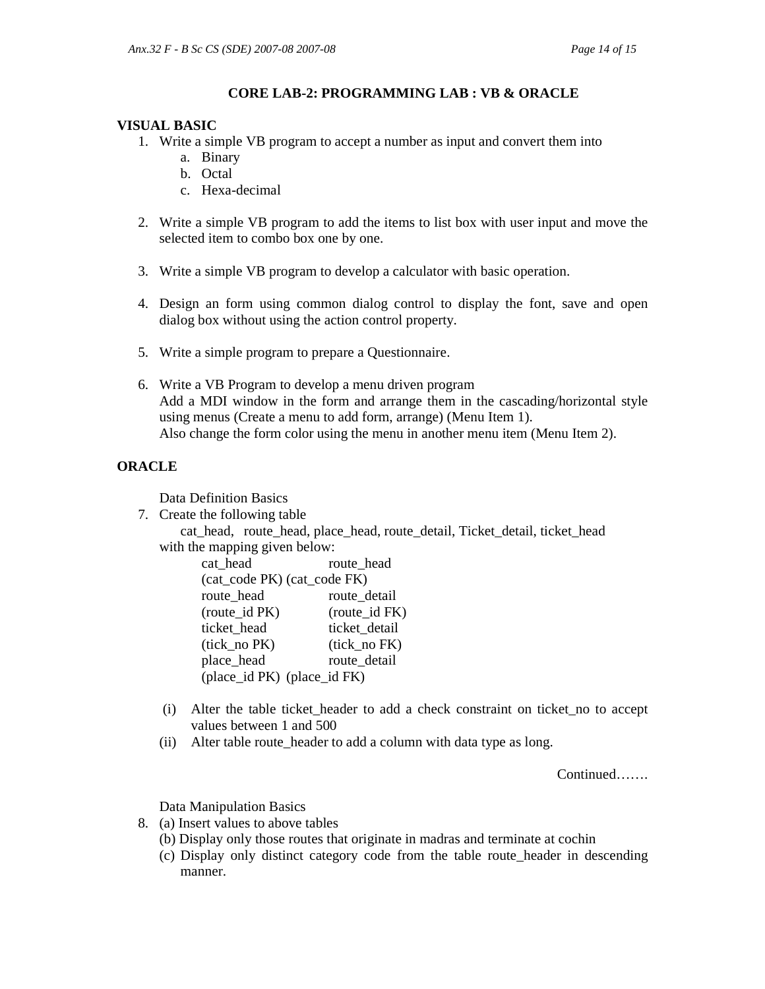## **CORE LAB-2: PROGRAMMING LAB : VB & ORACLE**

### **VISUAL BASIC**

- 1. Write a simple VB program to accept a number as input and convert them into
	- a. Binary
		- b. Octal
		- c. Hexa-decimal
- 2. Write a simple VB program to add the items to list box with user input and move the selected item to combo box one by one.
- 3. Write a simple VB program to develop a calculator with basic operation.
- 4. Design an form using common dialog control to display the font, save and open dialog box without using the action control property.
- 5. Write a simple program to prepare a Questionnaire.
- 6. Write a VB Program to develop a menu driven program Add a MDI window in the form and arrange them in the cascading/horizontal style using menus (Create a menu to add form, arrange) (Menu Item 1). Also change the form color using the menu in another menu item (Menu Item 2).

## **ORACLE**

Data Definition Basics

7. Create the following table

cat\_head, route\_head, place\_head, route\_detail, Ticket\_detail, ticket\_head with the mapping given below:

cat head route head (cat\_code PK) (cat\_code FK) route head route detail (route\_id PK) (route\_id FK) ticket\_head ticket\_detail (tick\_no PK) (tick\_no FK) place head route detail (place\_id PK) (place\_id FK)

- (i) Alter the table ticket\_header to add a check constraint on ticket\_no to accept values between 1 and 500
- (ii) Alter table route\_header to add a column with data type as long.

Continued…….

Data Manipulation Basics

- 8. (a) Insert values to above tables
	- (b) Display only those routes that originate in madras and terminate at cochin
	- (c) Display only distinct category code from the table route\_header in descending manner.